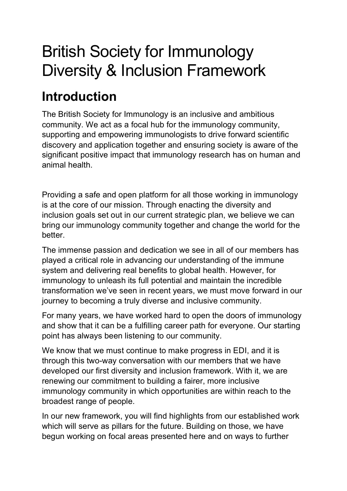# British Society for Immunology Diversity & Inclusion Framework

# **Introduction**

The British Society for Immunology is an inclusive and ambitious community. We act as a focal hub for the immunology community, supporting and empowering immunologists to drive forward scientific discovery and application together and ensuring society is aware of the significant positive impact that immunology research has on human and animal health.

Providing a safe and open platform for all those working in immunology is at the core of our mission. Through enacting the diversity and inclusion goals set out in our current strategic plan, we believe we can bring our immunology community together and change the world for the better.

The immense passion and dedication we see in all of our members has played a critical role in advancing our understanding of the immune system and delivering real benefits to global health. However, for immunology to unleash its full potential and maintain the incredible transformation we've seen in recent years, we must move forward in our journey to becoming a truly diverse and inclusive community.

For many years, we have worked hard to open the doors of immunology and show that it can be a fulfilling career path for everyone. Our starting point has always been listening to our community.

We know that we must continue to make progress in EDI, and it is through this two-way conversation with our members that we have developed our first diversity and inclusion framework. With it, we are renewing our commitment to building a fairer, more inclusive immunology community in which opportunities are within reach to the broadest range of people.

In our new framework, you will find highlights from our established work which will serve as pillars for the future. Building on those, we have begun working on focal areas presented here and on ways to further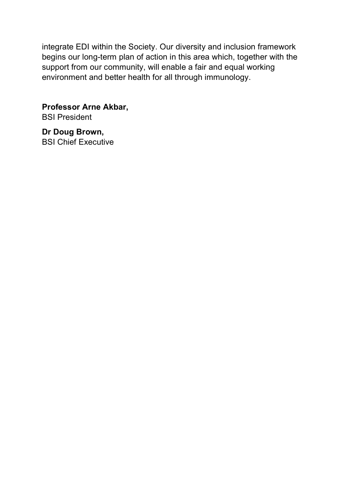integrate EDI within the Society. Our diversity and inclusion framework begins our long-term plan of action in this area which, together with the support from our community, will enable a fair and equal working environment and better health for all through immunology.

**Professor Arne Akbar,** BSI President

**Dr Doug Brown,** BSI Chief Executive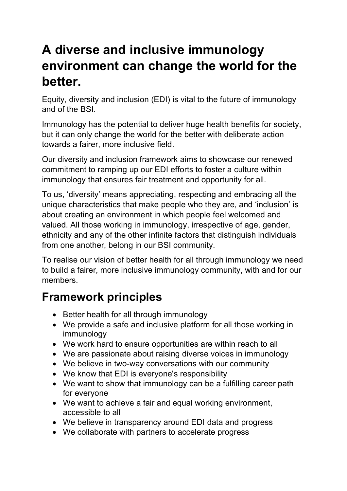# **A diverse and inclusive immunology environment can change the world for the better.**

Equity, diversity and inclusion (EDI) is vital to the future of immunology and of the BSI.

Immunology has the potential to deliver huge health benefits for society, but it can only change the world for the better with deliberate action towards a fairer, more inclusive field.

Our diversity and inclusion framework aims to showcase our renewed commitment to ramping up our EDI efforts to foster a culture within immunology that ensures fair treatment and opportunity for all.

To us, 'diversity' means appreciating, respecting and embracing all the unique characteristics that make people who they are, and 'inclusion' is about creating an environment in which people feel welcomed and valued. All those working in immunology, irrespective of age, gender, ethnicity and any of the other infinite factors that distinguish individuals from one another, belong in our BSI community.

To realise our vision of better health for all through immunology we need to build a fairer, more inclusive immunology community, with and for our members.

## **Framework principles**

- Better health for all through immunology
- We provide a safe and inclusive platform for all those working in immunology
- We work hard to ensure opportunities are within reach to all
- We are passionate about raising diverse voices in immunology
- We believe in two-way conversations with our community
- We know that EDI is everyone's responsibility
- We want to show that immunology can be a fulfilling career path for everyone
- We want to achieve a fair and equal working environment, accessible to all
- We believe in transparency around EDI data and progress
- We collaborate with partners to accelerate progress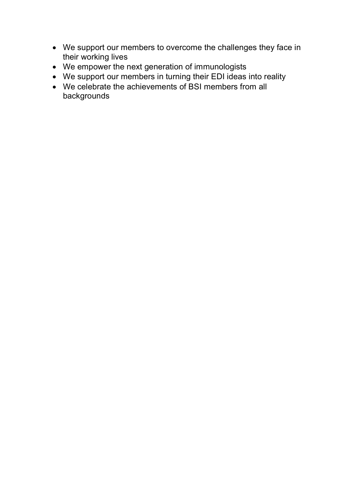- We support our members to overcome the challenges they face in their working lives
- We empower the next generation of immunologists
- We support our members in turning their EDI ideas into reality
- We celebrate the achievements of BSI members from all backgrounds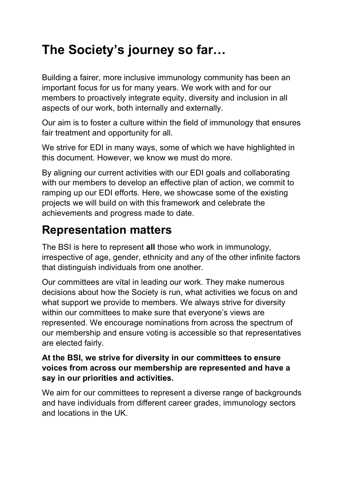# **The Society's journey so far…**

Building a fairer, more inclusive immunology community has been an important focus for us for many years. We work with and for our members to proactively integrate equity, diversity and inclusion in all aspects of our work, both internally and externally.

Our aim is to foster a culture within the field of immunology that ensures fair treatment and opportunity for all.

We strive for EDI in many ways, some of which we have highlighted in this document. However, we know we must do more.

By aligning our current activities with our EDI goals and collaborating with our members to develop an effective plan of action, we commit to ramping up our EDI efforts. Here, we showcase some of the existing projects we will build on with this framework and celebrate the achievements and progress made to date.

## **Representation matters**

The BSI is here to represent **all** those who work in immunology, irrespective of age, gender, ethnicity and any of the other infinite factors that distinguish individuals from one another.

Our committees are vital in leading our work. They make numerous decisions about how the Society is run, what activities we focus on and what support we provide to members. We always strive for diversity within our committees to make sure that everyone's views are represented. We encourage nominations from across the spectrum of our membership and ensure voting is accessible so that representatives are elected fairly.

#### **At the BSI, we strive for diversity in our committees to ensure voices from across our membership are represented and have a say in our priorities and activities.**

We aim for our committees to represent a diverse range of backgrounds and have individuals from different career grades, immunology sectors and locations in the UK.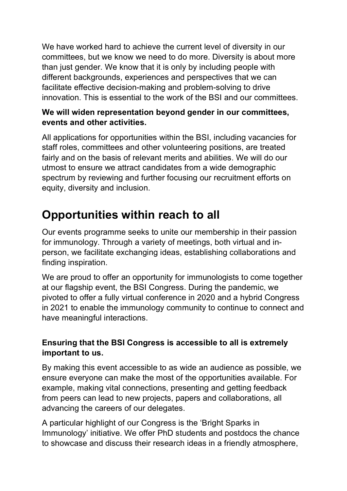We have worked hard to achieve the current level of diversity in our committees, but we know we need to do more. Diversity is about more than just gender. We know that it is only by including people with different backgrounds, experiences and perspectives that we can facilitate effective decision-making and problem-solving to drive innovation. This is essential to the work of the BSI and our committees.

### **We will widen representation beyond gender in our committees, events and other activities.**

All applications for opportunities within the BSI, including vacancies for staff roles, committees and other volunteering positions, are treated fairly and on the basis of relevant merits and abilities. We will do our utmost to ensure we attract candidates from a wide demographic spectrum by reviewing and further focusing our recruitment efforts on equity, diversity and inclusion.

## **Opportunities within reach to all**

Our events programme seeks to unite our membership in their passion for immunology. Through a variety of meetings, both virtual and inperson, we facilitate exchanging ideas, establishing collaborations and finding inspiration.

We are proud to offer an opportunity for immunologists to come together at our flagship event, the BSI Congress. During the pandemic, we pivoted to offer a fully virtual conference in 2020 and a hybrid Congress in 2021 to enable the immunology community to continue to connect and have meaningful interactions.

### **Ensuring that the BSI Congress is accessible to all is extremely important to us.**

By making this event accessible to as wide an audience as possible, we ensure everyone can make the most of the opportunities available. For example, making vital connections, presenting and getting feedback from peers can lead to new projects, papers and collaborations, all advancing the careers of our delegates.

A particular highlight of our Congress is the 'Bright Sparks in Immunology' initiative. We offer PhD students and postdocs the chance to showcase and discuss their research ideas in a friendly atmosphere,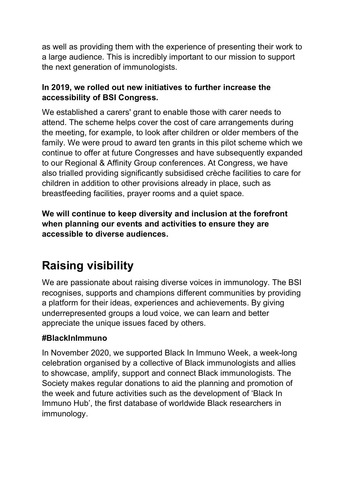as well as providing them with the experience of presenting their work to a large audience. This is incredibly important to our mission to support the next generation of immunologists.

### **In 2019, we rolled out new initiatives to further increase the accessibility of BSI Congress.**

We established a carers' grant to enable those with carer needs to attend. The scheme helps cover the cost of care arrangements during the meeting, for example, to look after children or older members of the family. We were proud to award ten grants in this pilot scheme which we continue to offer at future Congresses and have subsequently expanded to our Regional & Affinity Group conferences. At Congress, we have also trialled providing significantly subsidised crèche facilities to care for children in addition to other provisions already in place, such as breastfeeding facilities, prayer rooms and a quiet space.

**We will continue to keep diversity and inclusion at the forefront when planning our events and activities to ensure they are accessible to diverse audiences.**

## **Raising visibility**

We are passionate about raising diverse voices in immunology. The BSI recognises, supports and champions different communities by providing a platform for their ideas, experiences and achievements. By giving underrepresented groups a loud voice, we can learn and better appreciate the unique issues faced by others.

### **#BlackInImmuno**

In November 2020, we supported Black In Immuno Week, a week-long celebration organised by a collective of Black immunologists and allies to showcase, amplify, support and connect Black immunologists. The Society makes regular donations to aid the planning and promotion of the week and future activities such as the development of 'Black In Immuno Hub', the first database of worldwide Black researchers in immunology.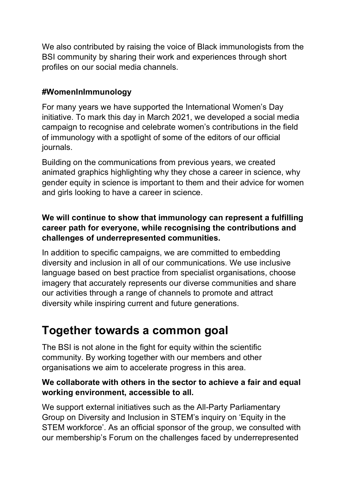We also contributed by raising the voice of Black immunologists from the BSI community by sharing their work and experiences through short profiles on our social media channels.

### **#WomenInImmunology**

For many years we have supported the International Women's Day initiative. To mark this day in March 2021, we developed a social media campaign to recognise and celebrate women's contributions in the field of immunology with a spotlight of some of the editors of our official journals.

Building on the communications from previous years, we created animated graphics highlighting why they chose a career in science, why gender equity in science is important to them and their advice for women and girls looking to have a career in science.

### **We will continue to show that immunology can represent a fulfilling career path for everyone, while recognising the contributions and challenges of underrepresented communities.**

In addition to specific campaigns, we are committed to embedding diversity and inclusion in all of our communications. We use inclusive language based on best practice from specialist organisations, choose imagery that accurately represents our diverse communities and share our activities through a range of channels to promote and attract diversity while inspiring current and future generations.

## **Together towards a common goal**

The BSI is not alone in the fight for equity within the scientific community. By working together with our members and other organisations we aim to accelerate progress in this area.

### **We collaborate with others in the sector to achieve a fair and equal working environment, accessible to all.**

We support external initiatives such as the All-Party Parliamentary Group on Diversity and Inclusion in STEM's inquiry on 'Equity in the STEM workforce'. As an official sponsor of the group, we consulted with our membership's Forum on the challenges faced by underrepresented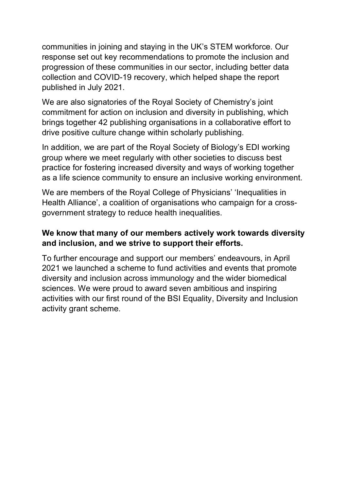communities in joining and staying in the UK's STEM workforce. Our response set out key recommendations to promote the inclusion and progression of these communities in our sector, including better data collection and COVID-19 recovery, which helped shape the report published in July 2021.

We are also signatories of the Royal Society of Chemistry's joint commitment for action on inclusion and diversity in publishing, which brings together 42 publishing organisations in a collaborative effort to drive positive culture change within scholarly publishing.

In addition, we are part of the Royal Society of Biology's EDI working group where we meet regularly with other societies to discuss best practice for fostering increased diversity and ways of working together as a life science community to ensure an inclusive working environment.

We are members of the Royal College of Physicians' 'Inequalities in Health Alliance', a coalition of organisations who campaign for a crossgovernment strategy to reduce health inequalities.

#### **We know that many of our members actively work towards diversity and inclusion, and we strive to support their efforts.**

To further encourage and support our members' endeavours, in April 2021 we launched a scheme to fund activities and events that promote diversity and inclusion across immunology and the wider biomedical sciences. We were proud to award seven ambitious and inspiring activities with our first round of the BSI Equality, Diversity and Inclusion activity grant scheme.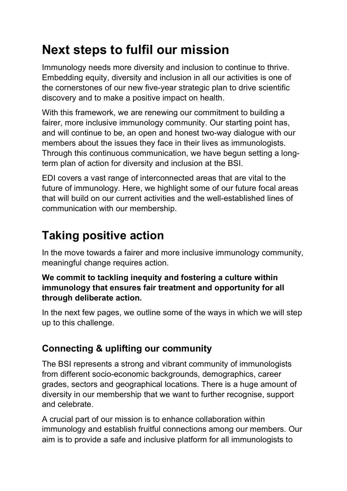# **Next steps to fulfil our mission**

Immunology needs more diversity and inclusion to continue to thrive. Embedding equity, diversity and inclusion in all our activities is one of the cornerstones of our new five-year strategic plan to drive scientific discovery and to make a positive impact on health.

With this framework, we are renewing our commitment to building a fairer, more inclusive immunology community. Our starting point has, and will continue to be, an open and honest two-way dialogue with our members about the issues they face in their lives as immunologists. Through this continuous communication, we have begun setting a longterm plan of action for diversity and inclusion at the BSI.

EDI covers a vast range of interconnected areas that are vital to the future of immunology. Here, we highlight some of our future focal areas that will build on our current activities and the well-established lines of communication with our membership.

## **Taking positive action**

In the move towards a fairer and more inclusive immunology community, meaningful change requires action.

### **We commit to tackling inequity and fostering a culture within immunology that ensures fair treatment and opportunity for all through deliberate action.**

In the next few pages, we outline some of the ways in which we will step up to this challenge.

### **Connecting & uplifting our community**

The BSI represents a strong and vibrant community of immunologists from different socio-economic backgrounds, demographics, career grades, sectors and geographical locations. There is a huge amount of diversity in our membership that we want to further recognise, support and celebrate.

A crucial part of our mission is to enhance collaboration within immunology and establish fruitful connections among our members. Our aim is to provide a safe and inclusive platform for all immunologists to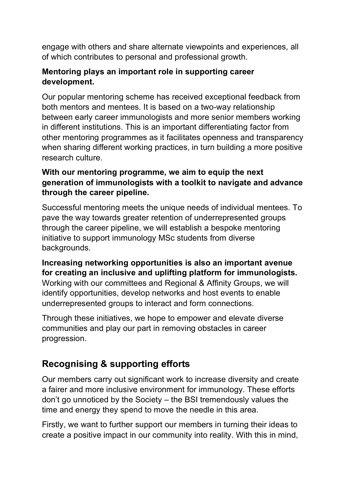engage with others and share alternate viewpoints and experiences, all of which contributes to personal and professional growth.

### **Mentoring plays an important role in supporting career development.**

Our popular mentoring scheme has received exceptional feedback from both mentors and mentees. It is based on a two-way relationship between early career immunologists and more senior members working in different institutions. This is an important differentiating factor from other mentoring programmes as it facilitates openness and transparency when sharing different working practices, in turn building a more positive research culture.

### **With our mentoring programme, we aim to equip the next generation of immunologists with a toolkit to navigate and advance through the career pipeline.**

Successful mentoring meets the unique needs of individual mentees. To pave the way towards greater retention of underrepresented groups through the career pipeline, we will establish a bespoke mentoring initiative to support immunology MSc students from diverse backgrounds.

**Increasing networking opportunities is also an important avenue for creating an inclusive and uplifting platform for immunologists.** Working with our committees and Regional & Affinity Groups, we will identify opportunities, develop networks and host events to enable underrepresented groups to interact and form connections.

Through these initiatives, we hope to empower and elevate diverse communities and play our part in removing obstacles in career progression.

### **Recognising & supporting efforts**

Our members carry out significant work to increase diversity and create a fairer and more inclusive environment for immunology. These efforts don't go unnoticed by the Society – the BSI tremendously values the time and energy they spend to move the needle in this area.

Firstly, we want to further support our members in turning their ideas to create a positive impact in our community into reality. With this in mind,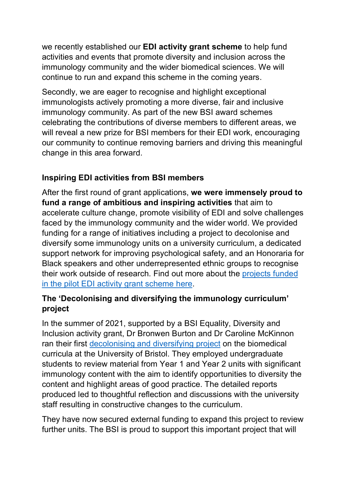we recently established our **EDI activity grant scheme** to help fund activities and events that promote diversity and inclusion across the immunology community and the wider biomedical sciences. We will continue to run and expand this scheme in the coming years.

Secondly, we are eager to recognise and highlight exceptional immunologists actively promoting a more diverse, fair and inclusive immunology community. As part of the new BSI award schemes celebrating the contributions of diverse members to different areas, we will reveal a new prize for BSI members for their EDI work, encouraging our community to continue removing barriers and driving this meaningful change in this area forward.

### **Inspiring EDI activities from BSI members**

After the first round of grant applications, **we were immensely proud to fund a range of ambitious and inspiring activities** that aim to accelerate culture change, promote visibility of EDI and solve challenges faced by the immunology community and the wider world. We provided funding for a range of initiatives including a project to decolonise and diversify some immunology units on a university curriculum, a dedicated support network for improving psychological safety, and an Honoraria for Black speakers and other underrepresented ethnic groups to recognise their work outside of research. Find out more about the projects funded [in the pilot EDI activity grant scheme here.](https://www.immunology.org/equality-diversity-inclusion-activity-grants-case-studies)

### **The 'Decolonising and diversifying the immunology curriculum' project**

In the summer of 2021, supported by a BSI Equality, Diversity and Inclusion activity grant, Dr Bronwen Burton and Dr Caroline McKinnon ran their first [decolonising and diversifying project](http://www.immunology.org/decolonising-the-immunology-curriculum) on the biomedical curricula at the University of Bristol. They employed undergraduate students to review material from Year 1 and Year 2 units with significant immunology content with the aim to identify opportunities to diversity the content and highlight areas of good practice. The detailed reports produced led to thoughtful reflection and discussions with the university staff resulting in constructive changes to the curriculum.

They have now secured external funding to expand this project to review further units. The BSI is proud to support this important project that will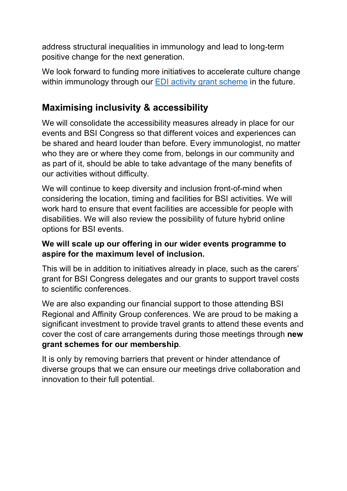address structural inequalities in immunology and lead to long-term positive change for the next generation.

We look forward to funding more initiatives to accelerate culture change within immunology through our **EDI** activity grant scheme in the future.

### **Maximising inclusivity & accessibility**

We will consolidate the accessibility measures already in place for our events and BSI Congress so that different voices and experiences can be shared and heard louder than before. Every immunologist, no matter who they are or where they come from, belongs in our community and as part of it, should be able to take advantage of the many benefits of our activities without difficulty.

We will continue to keep diversity and inclusion front-of-mind when considering the location, timing and facilities for BSI activities. We will work hard to ensure that event facilities are accessible for people with disabilities. We will also review the possibility of future hybrid online options for BSI events.

### **We will scale up our offering in our wider events programme to aspire for the maximum level of inclusion.**

This will be in addition to initiatives already in place, such as the carers' grant for BSI Congress delegates and our grants to support travel costs to scientific conferences.

We are also expanding our financial support to those attending BSI Regional and Affinity Group conferences. We are proud to be making a significant investment to provide travel grants to attend these events and cover the cost of care arrangements during those meetings through **new grant schemes for our membership**.

It is only by removing barriers that prevent or hinder attendance of diverse groups that we can ensure our meetings drive collaboration and innovation to their full potential.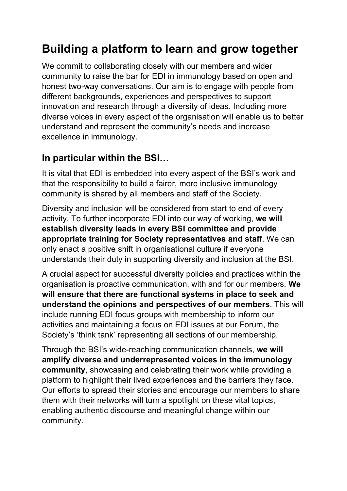## **Building a platform to learn and grow together**

We commit to collaborating closely with our members and wider community to raise the bar for EDI in immunology based on open and honest two-way conversations. Our aim is to engage with people from different backgrounds, experiences and perspectives to support innovation and research through a diversity of ideas. Including more diverse voices in every aspect of the organisation will enable us to better understand and represent the community's needs and increase excellence in immunology.

### **In particular within the BSI…**

It is vital that EDI is embedded into every aspect of the BSI's work and that the responsibility to build a fairer, more inclusive immunology community is shared by all members and staff of the Society.

Diversity and inclusion will be considered from start to end of every activity. To further incorporate EDI into our way of working, **we will establish diversity leads in every BSI committee and provide appropriate training for Society representatives and staff**. We can only enact a positive shift in organisational culture if everyone understands their duty in supporting diversity and inclusion at the BSI.

A crucial aspect for successful diversity policies and practices within the organisation is proactive communication, with and for our members. **We will ensure that there are functional systems in place to seek and understand the opinions and perspectives of our members**. This will include running EDI focus groups with membership to inform our activities and maintaining a focus on EDI issues at our Forum, the Society's 'think tank' representing all sections of our membership.

Through the BSI's wide-reaching communication channels, **we will amplify diverse and underrepresented voices in the immunology community**, showcasing and celebrating their work while providing a platform to highlight their lived experiences and the barriers they face. Our efforts to spread their stories and encourage our members to share them with their networks will turn a spotlight on these vital topics, enabling authentic discourse and meaningful change within our community.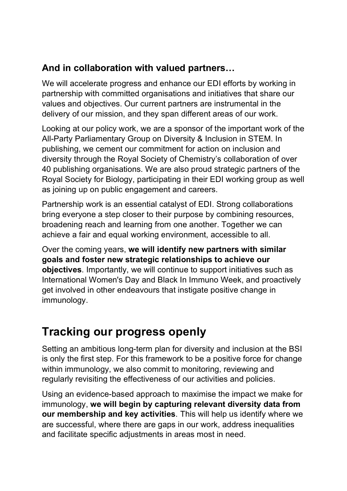### **And in collaboration with valued partners…**

We will accelerate progress and enhance our EDI efforts by working in partnership with committed organisations and initiatives that share our values and objectives. Our current partners are instrumental in the delivery of our mission, and they span different areas of our work.

Looking at our policy work, we are a sponsor of the important work of the All-Party Parliamentary Group on Diversity & Inclusion in STEM. In publishing, we cement our commitment for action on inclusion and diversity through the Royal Society of Chemistry's collaboration of over 40 publishing organisations. We are also proud strategic partners of the Royal Society for Biology, participating in their EDI working group as well as joining up on public engagement and careers.

Partnership work is an essential catalyst of EDI. Strong collaborations bring everyone a step closer to their purpose by combining resources, broadening reach and learning from one another. Together we can achieve a fair and equal working environment, accessible to all.

Over the coming years, **we will identify new partners with similar goals and foster new strategic relationships to achieve our objectives**. Importantly, we will continue to support initiatives such as International Women's Day and Black In Immuno Week, and proactively get involved in other endeavours that instigate positive change in immunology.

### **Tracking our progress openly**

Setting an ambitious long-term plan for diversity and inclusion at the BSI is only the first step. For this framework to be a positive force for change within immunology, we also commit to monitoring, reviewing and regularly revisiting the effectiveness of our activities and policies.

Using an evidence-based approach to maximise the impact we make for immunology, **we will begin by capturing relevant diversity data from our membership and key activities**. This will help us identify where we are successful, where there are gaps in our work, address inequalities and facilitate specific adjustments in areas most in need.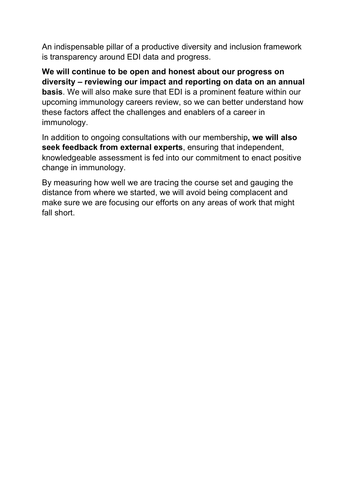An indispensable pillar of a productive diversity and inclusion framework is transparency around EDI data and progress.

**We will continue to be open and honest about our progress on diversity – reviewing our impact and reporting on data on an annual basis**. We will also make sure that EDI is a prominent feature within our upcoming immunology careers review, so we can better understand how these factors affect the challenges and enablers of a career in immunology.

In addition to ongoing consultations with our membership**, we will also seek feedback from external experts**, ensuring that independent, knowledgeable assessment is fed into our commitment to enact positive change in immunology.

By measuring how well we are tracing the course set and gauging the distance from where we started, we will avoid being complacent and make sure we are focusing our efforts on any areas of work that might fall short.